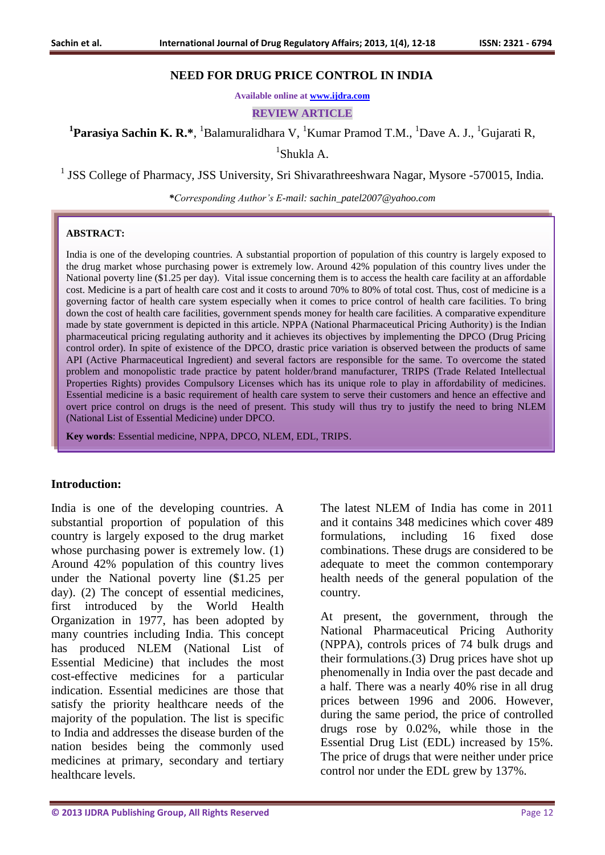#### **NEED FOR DRUG PRICE CONTROL IN INDIA**

**Available online at [www.ijdra.com](http://www.ijdra.com/)**

**REVIEW ARTICLE**

<sup>1</sup>Parasiya Sachin K. R.\*, <sup>1</sup>Balamuralidhara V, <sup>1</sup>Kumar Pramod T.M., <sup>1</sup>Dave A. J., <sup>1</sup>Gujarati R,

1 Shukla A.

<sup>1</sup> JSS College of Pharmacy, JSS University, Sri Shivarathreeshwara Nagar, Mysore -570015, India.

*\*Corresponding Author's E-mail: sachin\_patel2007@yahoo.com*

#### **ABSTRACT:**

India is one of the developing countries. A substantial proportion of population of this country is largely exposed to the drug market whose purchasing power is extremely low. Around 42% population of this country lives under the National poverty line (\$1.25 per day). Vital issue concerning them is to access the health care facility at an affordable cost. Medicine is a part of health care cost and it costs to around 70% to 80% of total cost. Thus, cost of medicine is a governing factor of health care system especially when it comes to price control of health care facilities. To bring down the cost of health care facilities, government spends money for health care facilities. A comparative expenditure made by state government is depicted in this article. NPPA (National Pharmaceutical Pricing Authority) is the Indian pharmaceutical pricing regulating authority and it achieves its objectives by implementing the DPCO (Drug Pricing control order). In spite of existence of the DPCO, drastic price variation is observed between the products of same API (Active Pharmaceutical Ingredient) and several factors are responsible for the same. To overcome the stated problem and monopolistic trade practice by patent holder/brand manufacturer, TRIPS (Trade Related Intellectual Properties Rights) provides Compulsory Licenses which has its unique role to play in affordability of medicines. Essential medicine is a basic requirement of health care system to serve their customers and hence an effective and overt price control on drugs is the need of present. This study will thus try to justify the need to bring NLEM (National List of Essential Medicine) under DPCO.

**Key words**: Essential medicine, NPPA, DPCO, NLEM, EDL, TRIPS.

#### **Introduction:**

India is one of the developing countries. A substantial proportion of population of this country is largely exposed to the drug market whose purchasing power is extremely low.  $(1)$ Around 42% population of this country lives under the National poverty line (\$1.25 per day). (2) The concept of essential medicines, first introduced by the World Health Organization in 1977, has been adopted by many countries including India. This concept has produced NLEM (National List of Essential Medicine) that includes the most cost-effective medicines for a particular indication. Essential medicines are those that satisfy the priority healthcare needs of the majority of the population. The list is specific to India and addresses the disease burden of the nation besides being the commonly used medicines at primary, secondary and tertiary healthcare levels.

The latest NLEM of India has come in 2011 and it contains 348 medicines which cover 489 formulations, including 16 fixed dose combinations. These drugs are considered to be adequate to meet the common contemporary health needs of the general population of the country.

At present, the government, through the National Pharmaceutical Pricing Authority (NPPA), controls prices of 74 bulk drugs and their formulations.(3) Drug prices have shot up phenomenally in India over the past decade and a half. There was a nearly 40% rise in all drug prices between 1996 and 2006. However, during the same period, the price of controlled drugs rose by 0.02%, while those in the Essential Drug List (EDL) increased by 15%. The price of drugs that were neither under price control nor under the EDL grew by 137%.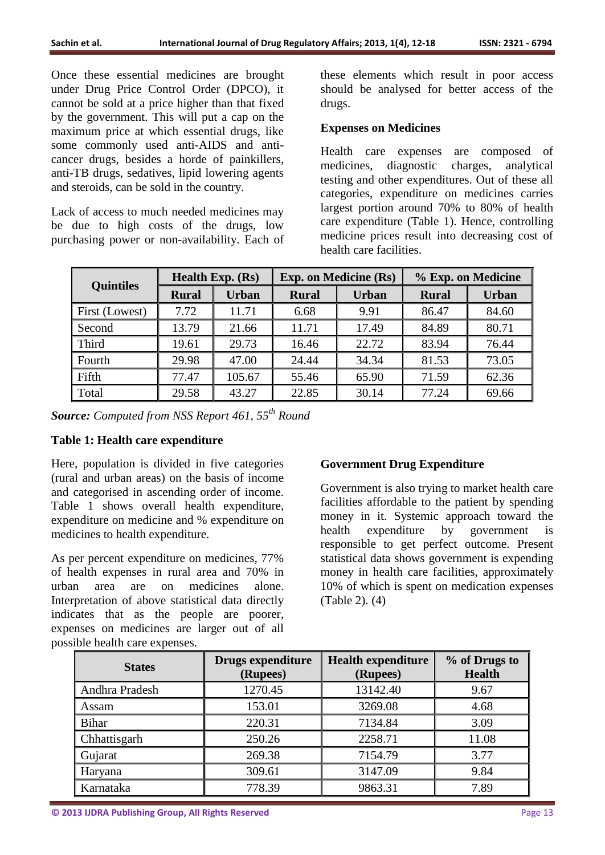Once these essential medicines are brought under Drug Price Control Order (DPCO), it cannot be sold at a price higher than that fixed by the government. This will put a cap on the maximum price at which essential drugs, like some commonly used anti-AIDS and anticancer drugs, besides a horde of painkillers, anti-TB drugs, sedatives, lipid lowering agents and steroids, can be sold in the country.

Lack of access to much needed medicines may be due to high costs of the drugs, low purchasing power or non-availability. Each of these elements which result in poor access should be analysed for better access of the drugs.

### **Expenses on Medicines**

Health care expenses are composed of medicines, diagnostic charges, analytical testing and other expenditures. Out of these all categories, expenditure on medicines carries largest portion around 70% to 80% of health care expenditure (Table 1). Hence, controlling medicine prices result into decreasing cost of health care facilities.

| <b>Quintiles</b>         | <b>Health Exp. (Rs)</b> |              | <b>Exp. on Medicine (Rs)</b> |              | % Exp. on Medicine |              |  |
|--------------------------|-------------------------|--------------|------------------------------|--------------|--------------------|--------------|--|
|                          | <b>Rural</b>            | <b>Urban</b> | <b>Rural</b>                 | <b>Urban</b> | <b>Rural</b>       | <b>Urban</b> |  |
| First (Lowest)           | 7.72                    | 11.71        | 6.68                         | 9.91         | 86.47              | 84.60        |  |
| Second                   | 13.79                   | 21.66        | 11.71                        | 17.49        | 84.89              | 80.71        |  |
| Third                    | 19.61                   | 29.73        | 16.46                        | 22.72        | 83.94              | 76.44        |  |
| Fourth                   | 29.98                   | 47.00        | 24.44                        | 34.34        | 81.53              | 73.05        |  |
| $\sqrt{\frac{Fifth}{F}}$ | 77.47                   | 105.67       | 55.46                        | 65.90        | 71.59              | 62.36        |  |
| Total                    | 29.58                   | 43.27        | 22.85                        | 30.14        | 77.24              | 69.66        |  |

*Source: Computed from NSS Report 461, 55th Round*

# **Table 1: Health care expenditure**

Here, population is divided in five categories (rural and urban areas) on the basis of income and categorised in ascending order of income. Table 1 shows overall health expenditure, expenditure on medicine and % expenditure on medicines to health expenditure.

As per percent expenditure on medicines, 77% of health expenses in rural area and 70% in urban area are on medicines alone. Interpretation of above statistical data directly indicates that as the people are poorer, expenses on medicines are larger out of all possible health care expenses.

# **Government Drug Expenditure**

Government is also trying to market health care facilities affordable to the patient by spending money in it. Systemic approach toward the health expenditure by government is responsible to get perfect outcome. Present statistical data shows government is expending money in health care facilities, approximately 10% of which is spent on medication expenses (Table 2). (4)

| <b>States</b>  | Drugs expenditure<br>(Rupees) | <b>Health expenditure</b><br>(Rupees) | % of Drugs to<br><b>Health</b> |  |
|----------------|-------------------------------|---------------------------------------|--------------------------------|--|
| Andhra Pradesh | 1270.45                       | 13142.40                              | 9.67                           |  |
| Assam          | 153.01                        | 3269.08                               | 4.68                           |  |
| <b>Bihar</b>   | 220.31                        | 7134.84                               | 3.09                           |  |
| Chhattisgarh   | 250.26                        | 2258.71                               | 11.08                          |  |
| Gujarat        | 269.38                        | 7154.79                               | 3.77                           |  |
| Haryana        | 309.61                        | 3147.09                               | 9.84                           |  |
| Karnataka      | 778.39                        | 9863.31                               | 7.89                           |  |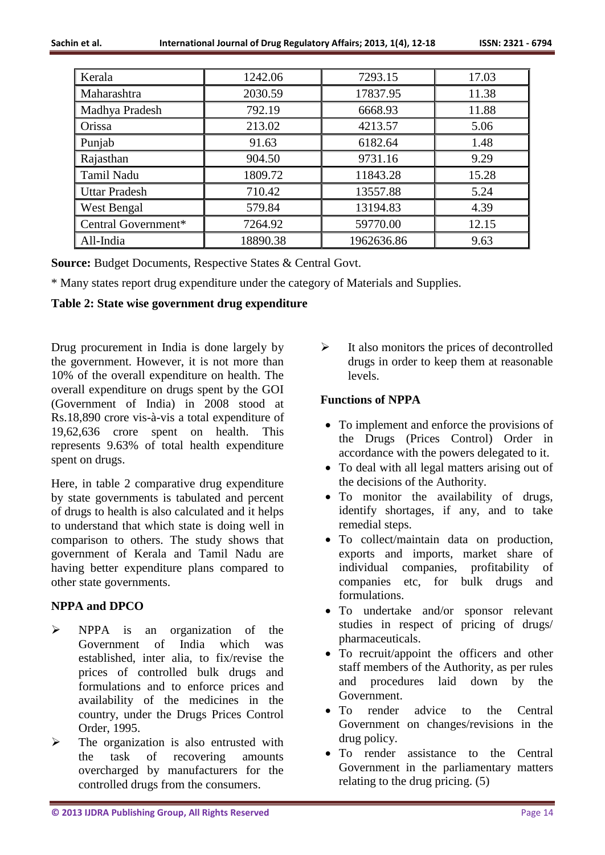| Kerala               | 1242.06  | 7293.15    | 17.03 |  |
|----------------------|----------|------------|-------|--|
| Maharashtra          | 2030.59  | 17837.95   | 11.38 |  |
| Madhya Pradesh       | 792.19   | 6668.93    | 11.88 |  |
| Orissa               | 213.02   | 4213.57    | 5.06  |  |
| Punjab               | 91.63    | 6182.64    | 1.48  |  |
| Rajasthan            | 904.50   | 9731.16    | 9.29  |  |
| Tamil Nadu           | 1809.72  | 11843.28   | 15.28 |  |
| <b>Uttar Pradesh</b> | 710.42   | 13557.88   | 5.24  |  |
| <b>West Bengal</b>   | 579.84   | 13194.83   | 4.39  |  |
| Central Government*  | 7264.92  | 59770.00   | 12.15 |  |
| All-India            | 18890.38 | 1962636.86 | 9.63  |  |

**Source:** Budget Documents, Respective States & Central Govt.

\* Many states report drug expenditure under the category of Materials and Supplies.

# **Table 2: State wise government drug expenditure**

Drug procurement in India is done largely by the government. However, it is not more than 10% of the overall expenditure on health. The overall expenditure on drugs spent by the GOI (Government of India) in 2008 stood at Rs.18,890 crore vis-à-vis a total expenditure of 19,62,636 crore spent on health. This represents 9.63% of total health expenditure spent on drugs.

Here, in table 2 comparative drug expenditure by state governments is tabulated and percent of drugs to health is also calculated and it helps to understand that which state is doing well in comparison to others. The study shows that government of Kerala and Tamil Nadu are having better expenditure plans compared to other state governments.

# **NPPA and DPCO**

- $\triangleright$  NPPA is an organization of the Government of India which was established, inter alia, to fix/revise the prices of controlled bulk drugs and formulations and to enforce prices and availability of the medicines in the country, under the Drugs Prices Control Order, 1995.
- $\triangleright$  The organization is also entrusted with the task of recovering amounts overcharged by manufacturers for the controlled drugs from the consumers.

 $\triangleright$  It also monitors the prices of decontrolled drugs in order to keep them at reasonable levels.

# **Functions of NPPA**

- To implement and enforce the provisions of the Drugs (Prices Control) Order in accordance with the powers delegated to it.
- To deal with all legal matters arising out of the decisions of the Authority.
- To monitor the availability of drugs, identify shortages, if any, and to take remedial steps.
- To collect/maintain data on production, exports and imports, market share of individual companies, profitability of companies etc, for bulk drugs and formulations.
- To undertake and/or sponsor relevant studies in respect of pricing of drugs/ pharmaceuticals.
- To recruit/appoint the officers and other staff members of the Authority, as per rules and procedures laid down by the Government.
- To render advice to the Central Government on changes/revisions in the drug policy.
- To render assistance to the Central Government in the parliamentary matters relating to the drug pricing. (5)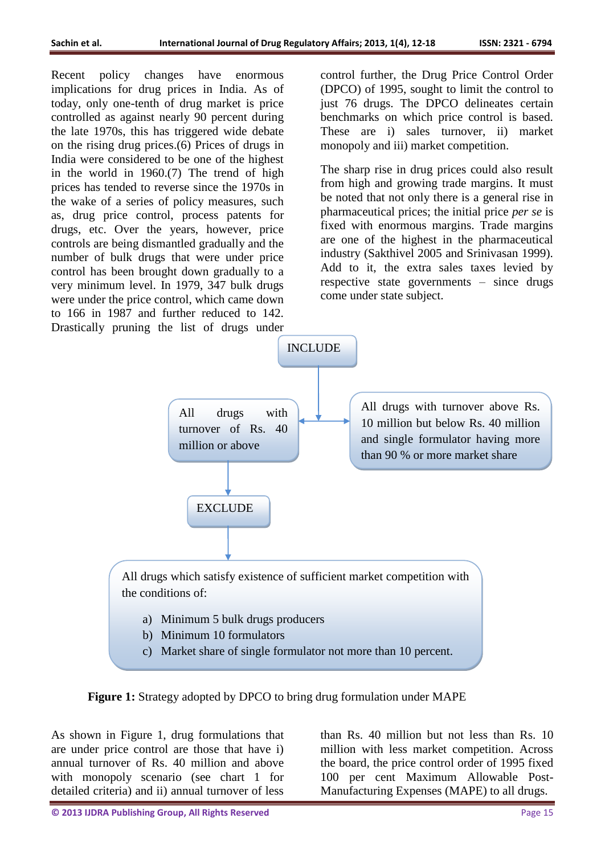Recent policy changes have enormous implications for drug prices in India. As of today, only one-tenth of drug market is price controlled as against nearly 90 percent during the late 1970s, this has triggered wide debate on the rising drug prices.(6) Prices of drugs in India were considered to be one of the highest in the world in 1960.(7) The trend of high prices has tended to reverse since the 1970s in the wake of a series of policy measures, such as, drug price control, process patents for drugs, etc. Over the years, however, price controls are being dismantled gradually and the number of bulk drugs that were under price control has been brought down gradually to a very minimum level. In 1979, 347 bulk drugs were under the price control, which came down to 166 in 1987 and further reduced to 142. Drastically pruning the list of drugs under

control further, the Drug Price Control Order (DPCO) of 1995, sought to limit the control to just 76 drugs. The DPCO delineates certain benchmarks on which price control is based. These are i) sales turnover, ii) market monopoly and iii) market competition.

The sharp rise in drug prices could also result from high and growing trade margins. It must be noted that not only there is a general rise in pharmaceutical prices; the initial price *per se* is fixed with enormous margins. Trade margins are one of the highest in the pharmaceutical industry (Sakthivel 2005 and Srinivasan 1999). Add to it, the extra sales taxes levied by respective state governments – since drugs come under state subject.



**Figure 1:** Strategy adopted by DPCO to bring drug formulation under MAPE

As shown in Figure 1, drug formulations that are under price control are those that have i) annual turnover of Rs. 40 million and above with monopoly scenario (see chart 1 for detailed criteria) and ii) annual turnover of less

than Rs. 40 million but not less than Rs. 10 million with less market competition. Across the board, the price control order of 1995 fixed 100 per cent Maximum Allowable Post-Manufacturing Expenses (MAPE) to all drugs.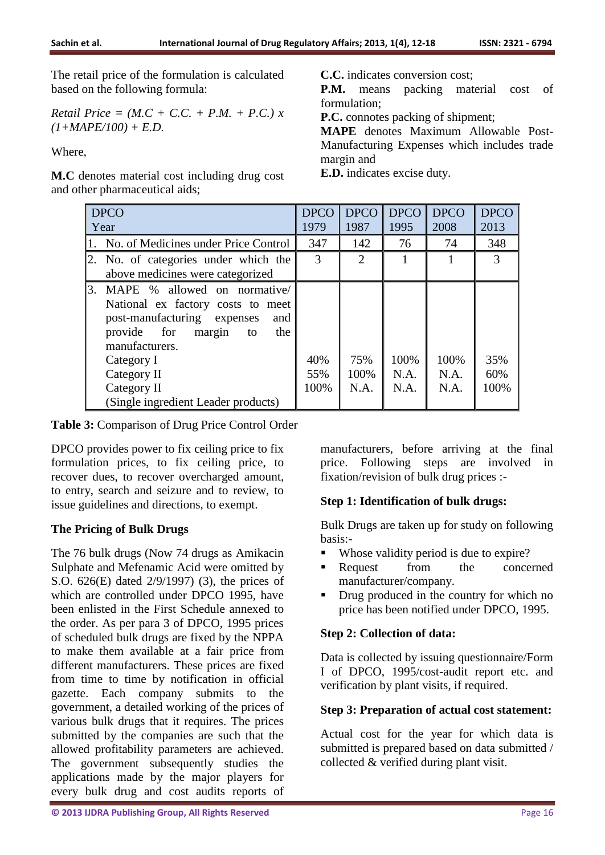The retail price of the formulation is calculated based on the following formula:

*Retail Price* = 
$$
(M.C + C.C. + P.M. + P.C.) x
$$
  
 $(1+MAPE/100) + E.D.$ 

Where,

**M.C** denotes material cost including drug cost and other pharmaceutical aids;

**C.C.** indicates conversion cost;

**P.M.** means packing material cost of formulation;

**P.C.** connotes packing of shipment;

**MAPE** denotes Maximum Allowable Post-Manufacturing Expenses which includes trade margin and

**E.D.** indicates excise duty.

| <b>DPCO</b>                                                                                                                                                                                                                                           | <b>DPCO</b>        | <b>DPCO</b>         | <b>DPCO</b>          | <b>DPCO</b>          | <b>DPCO</b>        |
|-------------------------------------------------------------------------------------------------------------------------------------------------------------------------------------------------------------------------------------------------------|--------------------|---------------------|----------------------|----------------------|--------------------|
| Year                                                                                                                                                                                                                                                  | 1979               | 1987                | 1995                 | 2008                 | 2013               |
| No. of Medicines under Price Control                                                                                                                                                                                                                  | 347                | 142                 | 76                   | 74                   | 348                |
| 2. No. of categories under which the                                                                                                                                                                                                                  | 3                  | $\overline{2}$      |                      |                      | $\mathcal{R}$      |
| above medicines were categorized                                                                                                                                                                                                                      |                    |                     |                      |                      |                    |
| 3. MAPE % allowed on normative/<br>National ex factory costs to meet<br>post-manufacturing<br>expenses<br>and<br>provide for margin<br>the<br>to<br>manufacturers.<br>Category I<br>Category II<br>Category II<br>(Single ingredient Leader products) | 40%<br>55%<br>100% | 75%<br>100%<br>N.A. | 100%<br>N.A.<br>N.A. | 100%<br>N.A.<br>N.A. | 35%<br>60%<br>100% |

**Table 3:** Comparison of Drug Price Control Order

DPCO provides power to fix ceiling price to fix formulation prices, to fix ceiling price, to recover dues, to recover overcharged amount, to entry, search and seizure and to review, to issue guidelines and directions, to exempt.

# **The Pricing of Bulk Drugs**

The 76 bulk drugs (Now 74 drugs as Amikacin Sulphate and Mefenamic Acid were omitted by S.O. 626(E) dated 2/9/1997) (3), the prices of which are controlled under DPCO 1995, have been enlisted in the First Schedule annexed to the order. As per para 3 of DPCO, 1995 prices of scheduled bulk drugs are fixed by the NPPA to make them available at a fair price from different manufacturers. These prices are fixed from time to time by notification in official gazette. Each company submits to the government, a detailed working of the prices of various bulk drugs that it requires. The prices submitted by the companies are such that the allowed profitability parameters are achieved. The government subsequently studies the applications made by the major players for every bulk drug and cost audits reports of

manufacturers, before arriving at the final price. Following steps are involved in fixation/revision of bulk drug prices :-

# **Step 1: Identification of bulk drugs:**

Bulk Drugs are taken up for study on following basis:-

- Whose validity period is due to expire?
- **Request** from the concerned manufacturer/company.
- Drug produced in the country for which no price has been notified under DPCO, 1995.

# **Step 2: Collection of data:**

Data is collected by issuing questionnaire/Form I of DPCO, 1995/cost-audit report etc. and verification by plant visits, if required.

# **Step 3: Preparation of actual cost statement:**

Actual cost for the year for which data is submitted is prepared based on data submitted / collected & verified during plant visit.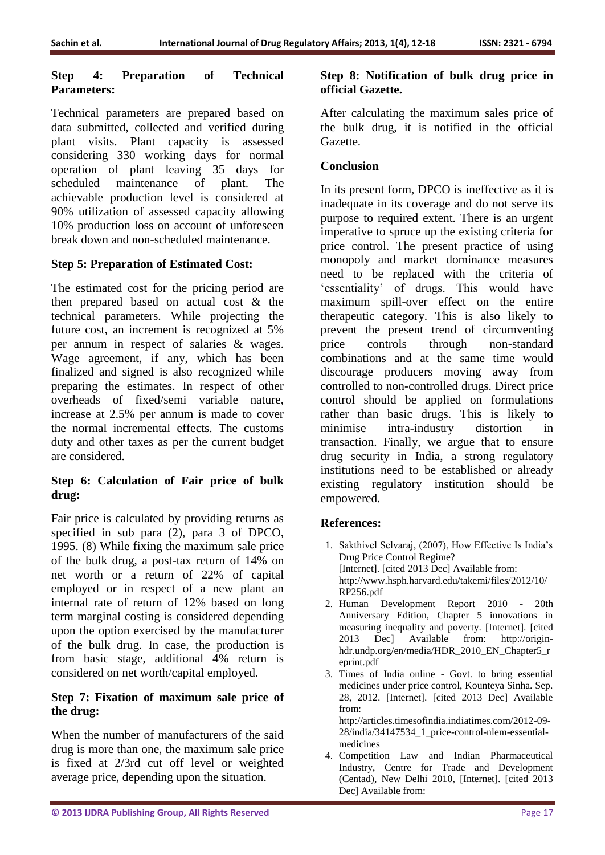### **Step 4: Preparation of Technical Parameters:**

Technical parameters are prepared based on data submitted, collected and verified during plant visits. Plant capacity is assessed considering 330 working days for normal operation of plant leaving 35 days for scheduled maintenance of plant. The achievable production level is considered at 90% utilization of assessed capacity allowing 10% production loss on account of unforeseen break down and non-scheduled maintenance.

# **Step 5: Preparation of Estimated Cost:**

The estimated cost for the pricing period are then prepared based on actual cost & the technical parameters. While projecting the future cost, an increment is recognized at 5% per annum in respect of salaries & wages. Wage agreement, if any, which has been finalized and signed is also recognized while preparing the estimates. In respect of other overheads of fixed/semi variable nature, increase at 2.5% per annum is made to cover the normal incremental effects. The customs duty and other taxes as per the current budget are considered.

# **Step 6: Calculation of Fair price of bulk drug:**

Fair price is calculated by providing returns as specified in sub para (2), para 3 of DPCO, 1995. (8) While fixing the maximum sale price of the bulk drug, a post-tax return of 14% on net worth or a return of 22% of capital employed or in respect of a new plant an internal rate of return of 12% based on long term marginal costing is considered depending upon the option exercised by the manufacturer of the bulk drug. In case, the production is from basic stage, additional 4% return is considered on net worth/capital employed.

### **Step 7: Fixation of maximum sale price of the drug:**

When the number of manufacturers of the said drug is more than one, the maximum sale price is fixed at 2/3rd cut off level or weighted average price, depending upon the situation.

### **Step 8: Notification of bulk drug price in official Gazette.**

After calculating the maximum sales price of the bulk drug, it is notified in the official Gazette.

# **Conclusion**

In its present form, DPCO is ineffective as it is inadequate in its coverage and do not serve its purpose to required extent. There is an urgent imperative to spruce up the existing criteria for price control. The present practice of using monopoly and market dominance measures need to be replaced with the criteria of 'essentiality' of drugs. This would have maximum spill-over effect on the entire therapeutic category. This is also likely to prevent the present trend of circumventing price controls through non-standard combinations and at the same time would discourage producers moving away from controlled to non-controlled drugs. Direct price control should be applied on formulations rather than basic drugs. This is likely to minimise intra-industry distortion in transaction. Finally, we argue that to ensure drug security in India, a strong regulatory institutions need to be established or already existing regulatory institution should be empowered.

# **References:**

- 1. Sakthivel Selvaraj, (2007), How Effective Is India's Drug Price Control Regime? [Internet]. [cited 2013 Dec] Available from: http://www.hsph.harvard.edu/takemi/files/2012/10/ RP256.pdf
- 2. Human Development Report 2010 20th Anniversary Edition, Chapter 5 innovations in measuring inequality and poverty. [Internet]. [cited 2013 Dec] Available from: http://originhdr.undp.org/en/media/HDR\_2010\_EN\_Chapter5\_r eprint.pdf
- 3. Times of India online Govt. to bring essential medicines under price control, Kounteya Sinha. Sep. 28, 2012. [Internet]. [cited 2013 Dec] Available from:

http://articles.timesofindia.indiatimes.com/2012-09- 28/india/34147534\_1\_price-control-nlem-essentialmedicines

4. Competition Law and Indian Pharmaceutical Industry, Centre for Trade and Development (Centad), New Delhi 2010, [Internet]. [cited 2013 Dec] Available from: